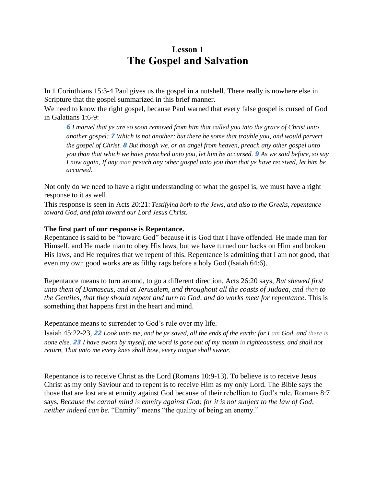## **Lesson 1 The Gospel and Salvation**

In 1 Corinthians 15:3-4 Paul gives us the gospel in a nutshell. There really is nowhere else in Scripture that the gospel summarized in this brief manner.

We need to know the right gospel, because Paul warned that every false gospel is cursed of God in Galatians 1:6-9:

*6 I marvel that ye are so soon removed from him that called you into the grace of Christ unto another gospel: 7 Which is not another; but there be some that trouble you, and would pervert the gospel of Christ. 8 But though we, or an angel from heaven, preach any other gospel unto you than that which we have preached unto you, let him be accursed. 9 As we said before, so say I now again, If any man preach any other gospel unto you than that ye have received, let him be accursed.*

Not only do we need to have a right understanding of what the gospel is, we must have a right response to it as well.

This response is seen in Acts 20:21: *Testifying both to the Jews, and also to the Greeks, repentance toward God, and faith toward our Lord Jesus Christ.*

## **The first part of our response is Repentance.**

Repentance is said to be "toward God" because it is God that I have offended. He made man for Himself, and He made man to obey His laws, but we have turned our backs on Him and broken His laws, and He requires that we repent of this. Repentance is admitting that I am not good, that even my own good works are as filthy rags before a holy God (Isaiah 64:6).

Repentance means to turn around, to go a different direction. Acts 26:20 says, *But shewed first unto them of Damascus, and at Jerusalem, and throughout all the coasts of Judaea, and then to the Gentiles, that they should repent and turn to God, and do works meet for repentance*. This is something that happens first in the heart and mind.

Repentance means to surrender to God's rule over my life.

Isaiah 45:22-23, *22 Look unto me, and be ye saved, all the ends of the earth: for I am God, and there is none else. 23 I have sworn by myself, the word is gone out of my mouth in righteousness, and shall not return, That unto me every knee shall bow, every tongue shall swear.*

Repentance is to receive Christ as the Lord (Romans 10:9-13). To believe is to receive Jesus Christ as my only Saviour and to repent is to receive Him as my only Lord. The Bible says the those that are lost are at enmity against God because of their rebellion to God's rule. Romans 8:7 says, *Because the carnal mind is enmity against God: for it is not subject to the law of God, neither indeed can be.* "Enmity" means "the quality of being an enemy."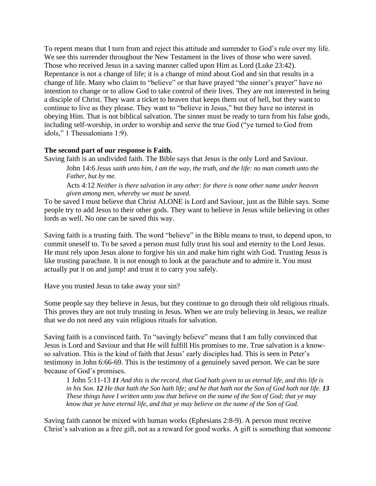To repent means that I turn from and reject this attitude and surrender to God's rule over my life. We see this surrender throughout the New Testament in the lives of those who were saved. Those who received Jesus in a saving manner called upon Him as Lord (Luke 23:42). Repentance is not a change of life; it is a change of mind about God and sin that results in a change of life. Many who claim to "believe" or that have prayed "the sinner's prayer" have no intention to change or to allow God to take control of their lives. They are not interested in being a disciple of Christ. They want a ticket to heaven that keeps them out of hell, but they want to continue to live as they please. They want to "believe in Jesus," but they have no interest in obeying Him. That is not biblical salvation. The sinner must be ready to turn from his false gods, including self-worship, in order to worship and serve the true God ("ye turned to God from idols," 1 Thessalonians 1:9).

## **The second part of our response is Faith.**

Saving faith is an undivided faith. The Bible says that Jesus is the only Lord and Saviour. John 14:6 *Jesus saith unto him, I am the way, the truth, and the life: no man cometh unto the Father, but by me.*

Acts 4:12 *Neither is there salvation in any other: for there is none other name under heaven given among men, whereby we must be saved*.

To be saved I must believe that Christ ALONE is Lord and Saviour, just as the Bible says. Some people try to add Jesus to their other gods. They want to believe in Jesus while believing in other lords as well. No one can be saved this way.

Saving faith is a trusting faith. The word "believe" in the Bible means to trust, to depend upon, to commit oneself to. To be saved a person must fully trust his soul and eternity to the Lord Jesus. He must rely upon Jesus alone to forgive his sin and make him right with God. Trusting Jesus is like trusting parachute. It is not enough to look at the parachute and to admire it. You must actually put it on and jump! and trust it to carry you safely.

Have you trusted Jesus to take away your sin?

Some people say they believe in Jesus, but they continue to go through their old religious rituals. This proves they are not truly trusting in Jesus. When we are truly believing in Jesus, we realize that we do not need any vain religious rituals for salvation.

Saving faith is a convinced faith. To "savingly believe" means that I am fully convinced that Jesus is Lord and Saviour and that He will fulfill His promises to me. True salvation is a knowso salvation. This is the kind of faith that Jesus' early disciples had. This is seen in Peter's testimony in John 6:66-69. This is the testimony of a genuinely saved person. We can be sure because of God's promises.

1 John 5:11-13 *11 And this is the record, that God hath given to us eternal life, and this life is in his Son. 12 He that hath the Son hath life; and he that hath not the Son of God hath not life. 13 These things have I written unto you that believe on the name of the Son of God; that ye may know that ye have eternal life, and that ye may believe on the name of the Son of God.*

Saving faith cannot be mixed with human works (Ephesians 2:8-9). A person must receive Christ's salvation as a free gift, not as a reward for good works. A gift is something that someone